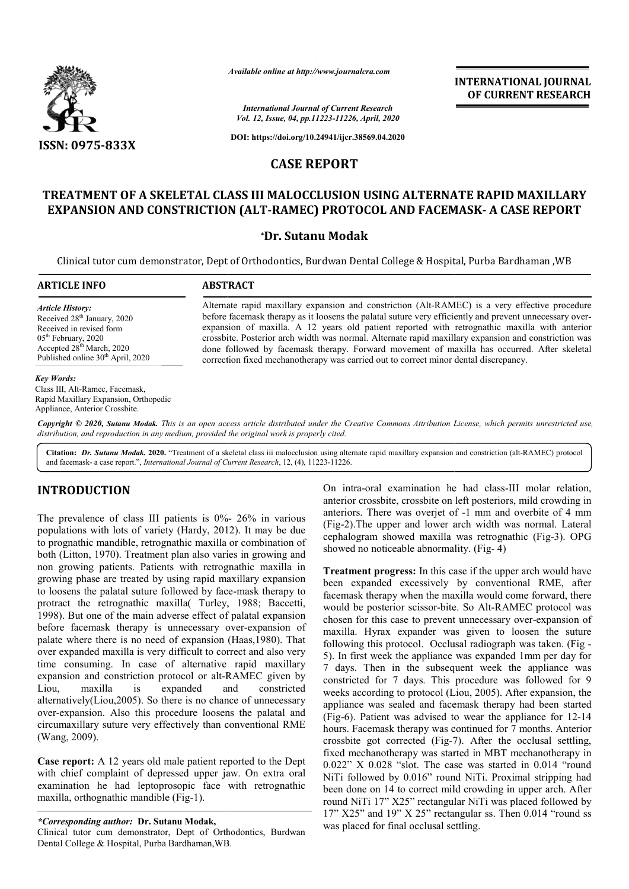

*Available online at http://www.journalcra.com*

*International Journal of Current Research Vol. 12, Issue, 04, pp.11223-11226, April, 2020*

**DOI: https://doi.org/10.24941/ijcr.38569.04.2020**

# **CASE REPORT**

# **TREATMENT OF A SKELETAL CLASS III MALOCCLUSION USING ALTERNATE RAPID MAXILLARY SKELETAL CLASS EXPANSION AND CONSTRICTION (ALT (ALT-RAMEC) PROTOCOL AND FACEMASK RAMEC) FACEMASK- A CASE REPORT**

#### **\*Dr. Sutanu Modak**

Clinical tutor cum demonstrator, Dept of Orthodontics, Burdwan Dental College & Hospital, Purba & Hospital, Bardhaman ,WB

#### **ARTICLE INFO ABSTRACT**

*Article History:* Received 28<sup>th</sup> January, 2020 Received in revised form 05th February, 2020 Accepted 28<sup>th</sup> March, 2020 Published online 30<sup>th</sup> April, 2020

Alternate rapid maxillary expansion and constriction (Alt-RAMEC) is a very effective procedure Alternate rapid maxillary expansion and constriction (Alt-RAMEC) is a very effective procedure<br>before facemask therapy as it loosens the palatal suture very efficiently and prevent unnecessary overexpansion of maxilla. A 12 years old patient reported with retrognathic maxilla with anterior crossbite. Posterior arch width was normal. Alternate rapid maxillary expansion and constriction was done followed by facemask therapy. Forward movement of maxilla has occurred. After skeletal correction fixed mechanotherapy was carried out to correct minor dental discrepancy. crossbite. Posterior arch width was normal. Alternate rapid maxillary expansion and<br>done followed by facemask therapy. Forward movement of maxilla has occurrec<br>correction fixed mechanotherapy was carried out to correct min

#### *Key Words:*

Class III, Alt-Ramec, Facemask, Rapid Maxillary Expansion, Orthopedic Appliance, Anterior Crossbite.

Copyright © 2020, Sutanu Modak. This is an open access article distributed under the Creative Commons Attribution License, which permits unrestricted use, *distribution, and reproduction in any medium, provided the original work is properly cited.*

Citation: Dr. Sutanu Modak. 2020. "Treatment of a skeletal class iii malocclusion using alternate rapid maxillary expansion and constriction (alt-RAMEC) protocol and facemask- a case report.", *International Journal of Current Research* , 12, (4), 11223-11226.

## **INTRODUCTION**

The prevalence of class III patients is  $0\%$ - 26% in various populations with lots of variety (Hardy, 2012). It may be due to prognathic mandible, retrognathic maxilla or combination of both (Litton, 1970). Treatment plan also varies in growing and non growing patients. Patients with retrognathic maxilla in growing phase are treated by using rapid maxillary expansion to loosens the palatal suture followed by face face-mask therapy to protract the retrognathic maxilla( Turley, 1988; Baccetti, 1998). But one of the main adverse effect of palatal expansion 1998). But one of the main adverse effect of palatal expansion<br>before facemask therapy is unnecessary over-expansion of palate where there is no need of expansion (Haas,1980). That over expanded maxilla is very difficult to correct and also very time consuming. In case of alternative rapid maxillary expansion and constriction protocol or alt-RAMEC given by Liou, maxilla is expanded and constricted alternatively(Liou,2005). So there is no chance of unnecessary over-expansion. Also this procedure loosens the palatal circumaxillary suture very effectively than conventional RME (Wang, 2009). nation and constriction protocol or alt-RAMEC given by<br>maxilla is expanded and constricted<br>natively(Liou,2005). So there is no chance of unnecessary<br>expansion. Also this procedure loosens the palatal and

**Case report:** A 12 years old male patient reported to the Dept with chief complaint of depressed upper jaw. On extra oral examination he had leptoprosopic face with retrognathic maxilla, orthognathic mandible (Fig-1).

*\*Corresponding author:* **Dr. Sutanu Modak,**

Clinical tutor cum demonstrator, Dept of Orthodontics, Burdwan Dental College & Hospital, Purba Bardhaman,WB.

On intra-oral examination he had class-III molar relation, anterior crossbite, crossbite on left posteriors, mild crowding in anterior crossbite, crossbite on left posteriors, mild crowding in anteriors. There was overjet of -1 mm and overbite of 4 mm (Fig-2).The upper and lower arch width was normal. Lateral (Fig-2). The upper and lower arch width was normal. Lateral cephalogram showed maxilla was retrognathic (Fig-3). OPG showed no noticeable abnormality. (Fig-4)

**INTERNATIONAL JOURNAL OF CURRENT RESEARCH**

**Treatment progress:** In this case if the upper arch would have been expanded excessively by conventional RME, after facemask therapy when the maxilla would come forward, there would be posterior scissor-bite. So Alt-RAMEC protocol was chosen for this case to prevent unnecessary over-expansion of maxilla. Hyrax expander was given to loosen the suture maxilla. Hyrax expander was given to loosen the suture following this protocol. Occlusal radiograph was taken. (Fig 5). In first week the appliance was expanded 1mm per day for 7 days. Then in the subsequent week the appliance was constricted for 7 days. This procedure was followed for 9 weeks according to protocol (Liou, 2005). After expansion, the appliance was sealed and facemask therapy had been started (Fig-6). Patient was advised to wear the appliance for  $12-14$ hours. Facemask therapy was continued for 7 months. Anterior hours. Facemask therapy was continued for 7 months. Anterior crossbite got corrected (Fig-7). After the occlusal settling, fixed mechanotherapy was started in MBT mechanotherapy in fixed mechanotherapy was started in MBT mechanotherapy in  $0.022$ " X  $0.028$  "slot. The case was started in  $0.014$  "round NiTi followed by 0.016" round NiTi. Proximal stripping had been done on 14 to correct mild crowding in upper arch. After round NiTi 17" X25" rectangular NiTi was placed followed by NiTi followed by 0.016" round NiTi. Proximal stripping had<br>been done on 14 to correct mild crowding in upper arch. After<br>round NiTi 17" X25" rectangular NiTi was placed followed by<br>17" X25" and 19" X 25" rectangular ss. Th was placed for final occlusal settling. ment progress: In this case if the upper arch would have expanded excessively by conventional RME, after sisk therapy when the maxilla would come forward, there be posterior scissor-bite. So Alt-RAMEC protocol was 5). In first week the appliance was expanded 1mm per day for 7 days. Then in the subsequent week the appliance was constricted for 7 days. This procedure was followed for 9 weeks according to protocol (Liou, 2005). After e **INTERNATIONAL JOURNAL TOWAL CONTRAL TOWAL CONTRAL TON THE SESSARCH (P2)**<br> **AS A CALTEEN ATE RAPID MAXILLARY**<br> **AND FACEMASK- A CASE REPORT**<br> **ONG ALTEENNATE RAPID MAXILLARY**<br> **AND FACEMASK- A CASE REPORT**<br> **ONG ALTEENNATE**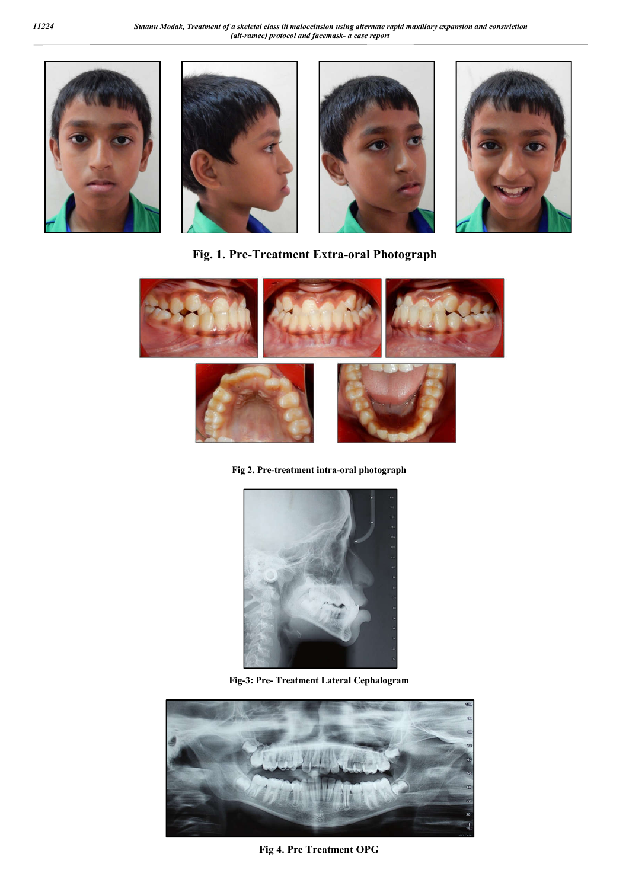







**Fig. 1. Pre-Treatment Extra-oral Photograph**



**Fig 2. Pre-treatment intra-oral photograph**



**Fig-3: Pre- Treatment Lateral Cephalogram**



**Fig 4. Pre Treatment OPG**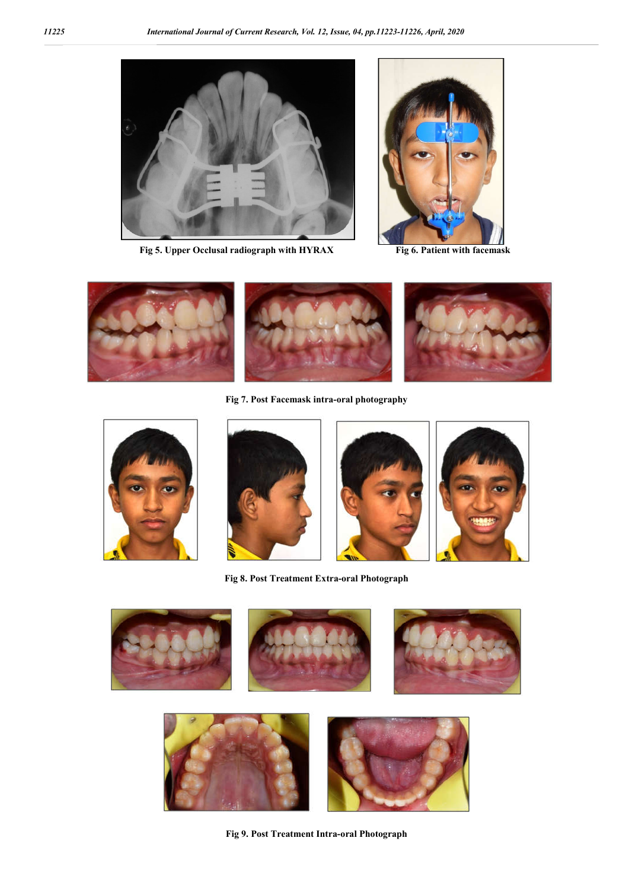

**Fig 5. Upper Occlusal radiograph with HYRAX Fig 6. Patient with facemask**





**Fig 7. Post Facemask intra-oral photography**





**Fig 8. Post Treatment Extra-oral Photograph**



**Fig 9. Post Treatment Intra-oral Photograph**